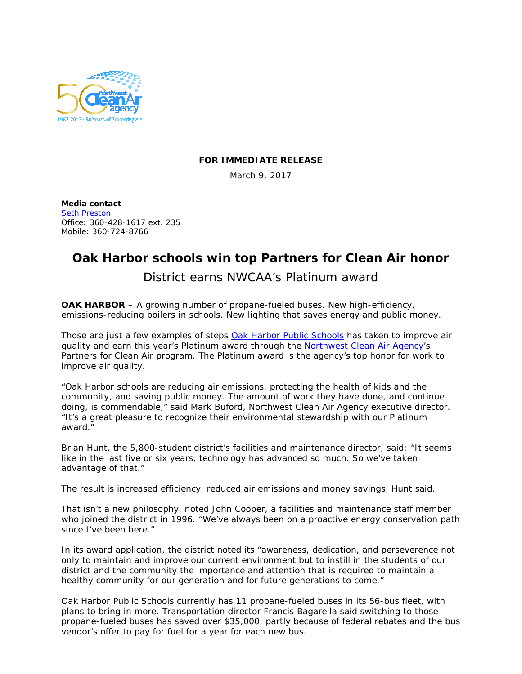

## **FOR IMMEDIATE RELEASE**

March 9, 2017

**Media contact** [Seth Preston](mailto:sethp@nwcleanairwa.gov) Office: 360-428-1617 ext. 235 Mobile: 360-724-8766

## **Oak Harbor schools win top Partners for Clean Air honor**

District earns NWCAA's Platinum award

**OAK HARBOR** – A growing number of propane-fueled buses. New high-efficiency, emissions-reducing boilers in schools. New lighting that saves energy and public money.

Those are just a few examples of steps Oak Harbor [Public Schools](http://www.ohsd.net/) has taken to improve air quality and earn this year's Platinum award through the [Northwest Clean Air Agency'](http://nwcleanairwa.gov/)s Partners for Clean Air program. The Platinum award is the agency's top honor for work to improve air quality.

"Oak Harbor schools are reducing air emissions, protecting the health of kids and the community, and saving public money. The amount of work they have done, and continue doing, is commendable," said Mark Buford, Northwest Clean Air Agency executive director. "It's a great pleasure to recognize their environmental stewardship with our Platinum award."

Brian Hunt, the 5,800-student district's facilities and maintenance director, said: "It seems like in the last five or six years, technology has advanced so much. So we've taken advantage of that."

The result is increased efficiency, reduced air emissions and money savings, Hunt said.

That isn't a new philosophy, noted John Cooper, a facilities and maintenance staff member who joined the district in 1996. "We've always been on a proactive energy conservation path since I've been here."

In its award application, the district noted its "awareness, dedication, and perseverence not only to maintain and improve our current environment but to instill in the students of our district and the community the importance and attention that is required to maintain a healthy community for our generation and for future generations to come."

Oak Harbor Public Schools currently has 11 propane-fueled buses in its 56-bus fleet, with plans to bring in more. Transportation director Francis Bagarella said switching to those propane-fueled buses has saved over \$35,000, partly because of federal rebates and the bus vendor's offer to pay for fuel for a year for each new bus.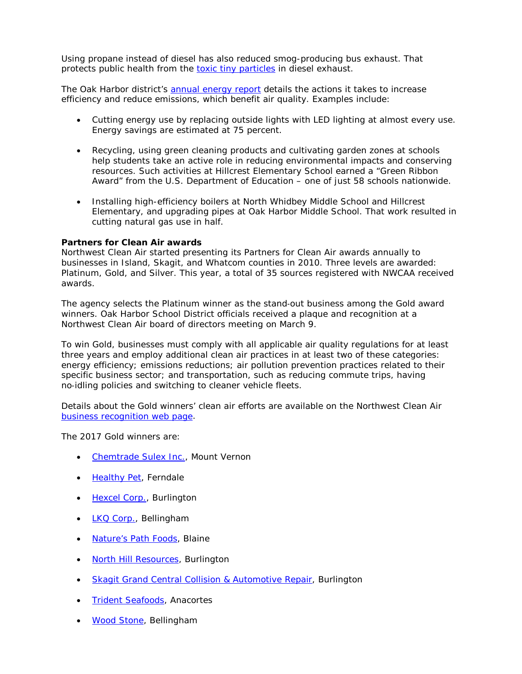Using propane instead of diesel has also reduced smog-producing bus exhaust. That protects public health from the [toxic tiny particles](http://www.lung.org/our-initiatives/healthy-air/outdoor/air-pollution/particle-pollution.html) in diesel exhaust.

The Oak Harbor district's [annual energy report](http://www.boarddocs.com/wa/ohsd/Board.nsf/files/AHXTYP79AD65/$file/2017%20Energy%20Report.pdf) details the actions it takes to increase efficiency and reduce emissions, which benefit air quality. Examples include:

- Cutting energy use by replacing outside lights with LED lighting at almost every use. Energy savings are estimated at 75 percent.
- Recycling, using green cleaning products and cultivating garden zones at schools help students take an active role in reducing environmental impacts and conserving resources. Such activities at Hillcrest Elementary School earned a "Green Ribbon Award" from the U.S. Department of Education – one of just 58 schools nationwide.
- Installing high-efficiency boilers at North Whidbey Middle School and Hillcrest Elementary, and upgrading pipes at Oak Harbor Middle School. That work resulted in cutting natural gas use in half.

## **Partners for Clean Air awards**

Northwest Clean Air started presenting its Partners for Clean Air awards annually to businesses in Island, Skagit, and Whatcom counties in 2010. Three levels are awarded: Platinum, Gold, and Silver. This year, a total of 35 sources registered with NWCAA received awards.

The agency selects the Platinum winner as the stand‐out business among the Gold award winners. Oak Harbor School District officials received a plaque and recognition at a Northwest Clean Air board of directors meeting on March 9.

To win Gold, businesses must comply with all applicable air quality regulations for at least three years and employ additional clean air practices in at least two of these categories: energy efficiency; emissions reductions; air pollution prevention practices related to their specific business sector; and transportation, such as reducing commute trips, having no‐idling policies and switching to cleaner vehicle fleets.

Details about the Gold winners' clean air efforts are available on the Northwest Clean Air [business recognition web page.](http://nwcleanairwa.gov/business-award-winners/)

The 2017 Gold winners are:

- [Chemtrade Sulex Inc.,](http://www.chemtradelogistics.com/main/about-us/) Mount Vernon
- [Healthy Pet,](https://www.healthy-pet.com/) Ferndale
- [Hexcel Corp.,](http://www.hexcel.com/About/Site-Locations/1441/hexcel-burlington) Burlington
- [LKQ Corp.,](http://www.lkqcorp.com/en-us/) Bellingham
- **[Nature's Path Foods,](http://us.naturespath.com/) Blaine**
- [North Hill Resources,](http://www.northhillresources.com/) Burlington
- [Skagit Grand Central Collision & Automotive Repair,](http://skagitgrand.com/) Burlington
- [Trident Seafoods,](http://tridentseafoods.com/) Anacortes
- **[Wood Stone,](http://woodstone-corp.com/) Bellingham**